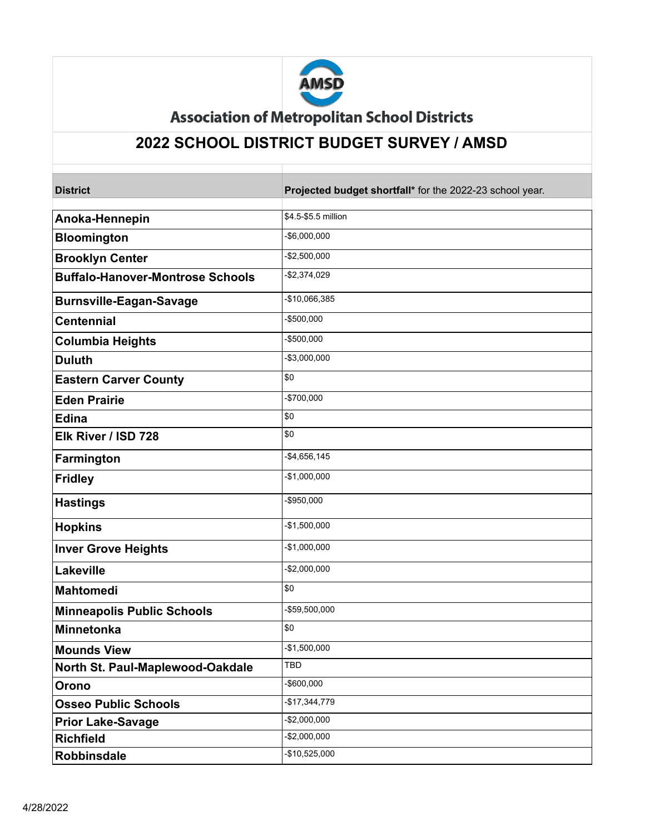

**Association of Metropolitan School Districts** 

## **2022 SCHOOL DISTRICT BUDGET SURVEY / AMSD**

| <b>District</b>                         | Projected budget shortfall* for the 2022-23 school year. |
|-----------------------------------------|----------------------------------------------------------|
|                                         |                                                          |
| Anoka-Hennepin                          | \$4.5-\$5.5 million                                      |
| <b>Bloomington</b>                      | -\$6,000,000                                             |
| <b>Brooklyn Center</b>                  | $-$ \$2,500,000                                          |
| <b>Buffalo-Hanover-Montrose Schools</b> | -\$2,374,029                                             |
| <b>Burnsville-Eagan-Savage</b>          | -\$10,066,385                                            |
| <b>Centennial</b>                       | -\$500,000                                               |
| <b>Columbia Heights</b>                 | -\$500,000                                               |
| <b>Duluth</b>                           | -\$3,000,000                                             |
| <b>Eastern Carver County</b>            | \$0                                                      |
| <b>Eden Prairie</b>                     | -\$700,000                                               |
| <b>Edina</b>                            | \$0                                                      |
| Elk River / ISD 728                     | \$0                                                      |
| Farmington                              | -\$4,656,145                                             |
| <b>Fridley</b>                          | $-$1,000,000$                                            |
| <b>Hastings</b>                         | -\$950,000                                               |
| <b>Hopkins</b>                          | -\$1,500,000                                             |
| <b>Inver Grove Heights</b>              | \$1,000,000                                              |
| Lakeville                               | -\$2,000,000                                             |
| <b>Mahtomedi</b>                        | \$0                                                      |
| <b>Minneapolis Public Schools</b>       | -\$59,500,000                                            |
| Minnetonka                              | \$0                                                      |
| <b>Mounds View</b>                      | $-$1,500,000$                                            |
| North St. Paul-Maplewood-Oakdale        | TBD                                                      |
| Orono                                   | -\$600,000                                               |
| <b>Osseo Public Schools</b>             | \$17,344,779                                             |
| <b>Prior Lake-Savage</b>                | \$2,000,000                                              |
| <b>Richfield</b>                        | $-$ \$2,000,000                                          |
| <b>Robbinsdale</b>                      | \$10,525,000                                             |